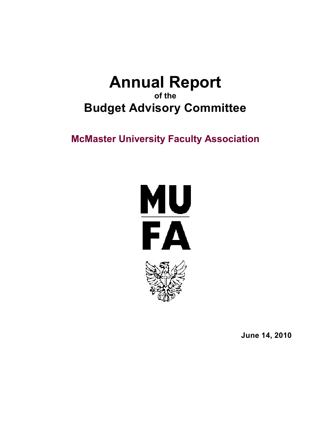# **Annual Report of the Budget Advisory Committee**

# **McMaster University Faculty Association**





**June 14, 2010**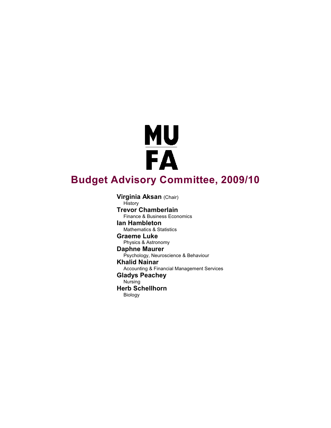# **MU<br>FA Budget Advisory Committee, 2009/10**

**Virginia Aksan** (Chair) **History Trevor Chamberlain** Finance & Business Economics **Ian Hambleton** Mathematics & Statistics **Graeme Luke** Physics & Astronomy **Daphne Maurer** Psychology, Neuroscience & Behaviour **Khalid Nainar** Accounting & Financial Management Services **Gladys Peachey** Nursing **Herb Schellhorn** Biology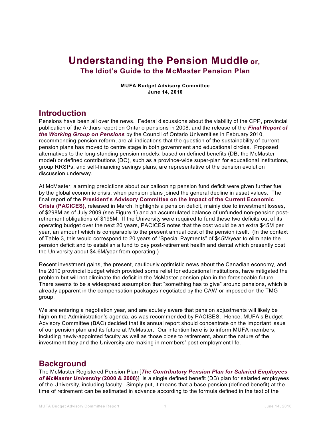# **Understanding the Pension Muddle or, The Idiot's Guide to the McMaster Pension Plan**

**MUFA Budget Advisory Committee June 14, 2010**

## **Introduction**

Pensions have been all over the news. Federal discussions about the viability of the CPP, provincial publication of the Arthurs report on Ontario pensions in 2008, and the release of the *Final [Report](http://www.mcmaster.ca/mufa/COUPension%20Feb2010.pdf) of the Working Group on [Pensions](http://www.mcmaster.ca/mufa/COUPension%20Feb2010.pdf)* by the Council of Ontario Universities in February 2010, recommending pension reform, are all indications that the question of the sustainability of current pension plans has moved to centre stage in both government and educational circles. Proposed alternatives to the long-standing pension models, based on defined benefits (DB, the McMaster model) or defined contributions (DC), such as a province-wide super-plan for educational institutions, group RRSPs, and self-financing savings plans, are representative of the pension evolution discussion underway.

At McMaster, alarming predictions about our ballooning pension fund deficit were given further fuel by the global economic crisis, when pension plans joined the general decline in asset values. The final report of the **[President's](http://www.mcmaster.ca/opr/html/discover_mcmaster/presidents_message/documents/PACICES_Final_March_2010.pdf) Advisory Committee on the Impact of the Current Economic Crisis [\(PACICES\),](http://www.mcmaster.ca/opr/html/discover_mcmaster/presidents_message/documents/PACICES_Final_March_2010.pdf)** released in March, highlights a pension deficit, mainly due to investment losses, of \$298M as of July 2009 (see Figure 1) and an accumulated balance of unfunded non-pension postretirement obligations of \$195M. If the University were required to fund these two deficits out of its operating budget over the next 20 years, PACICES notes that the cost would be an extra \$45M per year, an amount which is comparable to the present annual cost of the pension itself. (In the context of Table 3, this would correspond to 20 years of "Special Payments" of \$45M/year to eliminate the pension deficit and to establish a fund to pay post-retirement health and dental which presently cost the University about \$4.6M/year from operating.)

Recent investment gains, the present, cautiously optimistic news about the Canadian economy, and the 2010 provincial budget which provided some relief for educational institutions, have mitigated the problem but will not eliminate the deficit in the McMaster pension plan in the foreseeable future. There seems to be a widespread assumption that "something has to give" around pensions, which is already apparent in the compensation packages negotiated by the CAW or imposed on the TMG group.

We are entering a negotiation year, and are acutely aware that pension adjustments will likely be high on the Administration's agenda, as was recommended by PACISES. Hence, MUFA's Budget Advisory Committee (BAC) decided that its annual report should concentrate on the important issue of our pension plan and its future at McMaster. Our intention here is to inform MUFA members, including newly-appointed faculty as well as those close to retirement, about the nature of the investment they and the University are making in members' post-employment life.

## **Background**

The McMaster Registered Pension Plan [*The [Contributory](http://www.mcmaster.ca/mufa/PensionPlanTextRestatementJuly2008.pdf) Pension Plan for Salaried Employees of McMaster [University](http://www.mcmaster.ca/mufa/PensionPlanTextRestatementJuly2008.pdf)* **(2000 & 2008)**] is a single defined benefit (DB) plan for salaried employees of the University, including faculty. Simply put, it means that a base pension (defined benefit) at the time of retirement can be estimated in advance according to the formula defined in the text of the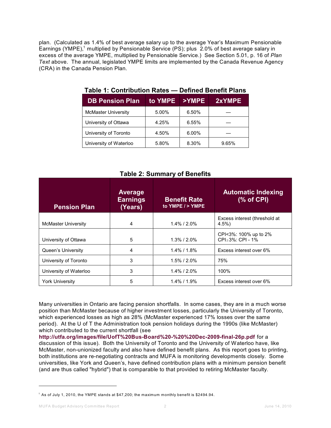plan. (Calculated as 1.4% of best average salary up to the average Year's Maximum Pensionable Earnings (YMPE),<sup>1</sup> multiplied by Pensionable Service (PS); plus 2.0% of best average salary in excess of the average YMPE, multiplied by Pensionable Service.) See Section 5.01, p. 16 of *Plan Text* above. The annual, legislated YMPE limits are implemented by the Canada Revenue Agency (CRA) in the Canada Pension Plan.

| <b>DB Pension Plan</b>     | to YMPE | >YMPE | 2xYMPE |
|----------------------------|---------|-------|--------|
| <b>McMaster University</b> | 5.00%   | 6.50% |        |
| University of Ottawa       | 4.25%   | 6.55% |        |
| University of Toronto      | 4.50%   | 6.00% |        |
| University of Waterloo     | 5.80%   | 8.30% | 9.65%  |

#### **Table 1: Contribution Rates — Defined Benefit Plans**

|                            |                                              | rapic 2. January or Denomo                |                                           |
|----------------------------|----------------------------------------------|-------------------------------------------|-------------------------------------------|
| <b>Pension Plan</b>        | <b>Average</b><br><b>Earnings</b><br>(Years) | <b>Benefit Rate</b><br>to YMPE $/$ > YMPE | <b>Automatic Indexing</b><br>$%$ of CPI)  |
| <b>McMaster University</b> | 4                                            | $1.4\%$ / $2.0\%$                         | Excess interest (threshold at<br>$4.5\%$  |
| University of Ottawa       | 5                                            | $1.3\%$ / $2.0\%$                         | CPI<3%: 100% up to 2%<br>CPI≥3%: CPI - 1% |
| Queen's University         | 4                                            | $1.4\%$ / $1.8\%$                         | Excess interest over 6%                   |
| University of Toronto      | 3                                            | 1.5% / 2.0%                               | 75%                                       |
| University of Waterloo     | 3                                            | $1.4\%$ / $2.0\%$                         | 100%                                      |
| <b>York University</b>     | 5                                            | $1.4\%$ / $1.9\%$                         | Excess interest over 6%                   |

#### **Table 2: Summary of Benefits**

Many universities in Ontario are facing pension shortfalls. In some cases, they are in a much worse position than McMaster because of higher investment losses, particularly the University of Toronto, which experienced losses as high as 28% (McMaster experienced 17% losses over the same period). At the U of T the Administration took pension holidays during the 1990s (like McMaster) which contributed to the current shortfall (see

**[http://utfa.org/images/file/UofT%20Bus-Board%20-%20%20Dec-2009-final-26p.pdf](http://utfa.org/images/file/UofT%20Bus-Board%20-%20%20Dec-2009-final-26p.pdf%20)** for a discussion of this issue). Both the University of Toronto and the University of Waterloo have, like McMaster, non-unionized faculty and also have defined benefit plans. As this report goes to printing, both institutions are re-negotiating contracts and MUFA is monitoring developments closely. Some universities, like York and Queen's, have defined contribution plans with a minimum pension benefit (and are thus called "hybrid") that is comparable to that provided to retiring McMaster faculty.

 $^{\rm 1}$  As of July 1, 2010, the YMPE stands at \$47,200; the maximum monthly benefit is \$2494.94.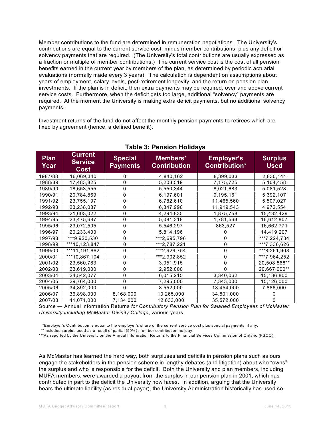Member contributions to the fund are determined in remuneration negotiations. The University's contributions are equal to the current service cost, minus member contributions, plus any deficit or solvency payments that are required. (The University's total contributions are usually expressed as a fraction or multiple of member contributions.) The current service cost is the cost of all pension benefits earned in the current year by members of the plan, as determined by periodic actuarial evaluations (normally made every 3 years). The calculation is dependent on assumptions about years of employment, salary levels, post-retirement longevity, and the return on pension plan investments. If the plan is in deficit, then extra payments may be required, over and above current service costs. Furthermore, when the deficit gets too large, additional "solvency" payments are required. At the moment the University is making extra deficit payments, but no additional solvency payments.

Investment returns of the fund do not affect the monthly pension payments to retirees which are fixed by agreement (hence, a defined benefit).

| <b>Plan</b><br>Year | <b>Current</b><br><b>Service</b><br>Cost | <b>Special</b><br><b>Payments</b> | Members'<br><b>Contribution</b> | <b>Employer's</b><br>Contribution* | <b>Surplus</b><br><b>Used</b> |
|---------------------|------------------------------------------|-----------------------------------|---------------------------------|------------------------------------|-------------------------------|
| 1987/88             | 16,069,340                               | 0                                 | 4,840,162                       | 8,399,033                          | 2,830,144                     |
| 1988/89             | 17,483,825                               | 0                                 | 5,203,519                       | 7,175,725                          | 5,104,458                     |
| 1989/90             | 18,653,555                               | 0                                 | 5,550,344                       | 8,021,683                          | 5,081,528                     |
| 1990/91             | 20,784,869                               | 0                                 | 6,197,601                       | 9,195,161                          | 5,392,107                     |
| 1991/92             | 23,755,197                               | 0                                 | 6,782,610                       | 11,465,560                         | 5,507,027                     |
| 1992/93             | 23,238,087                               | 0                                 | 6,347,990                       | 11,919,543                         | 4,972,554                     |
| 1993/94             | 21,603,022                               | 0                                 | 4,294,835                       | 1,875,758                          | 15,432,429                    |
| 1994/95             | 23,475,687                               | 0                                 | 5,081,318                       | 1,781,563                          | 16,612,807                    |
| 1995/96             | 23,072,595                               | 0                                 | 5,546,297                       | 863,527                            | 16,662,771                    |
| 1996/97             | 20,233,403                               | 0                                 | 5,814,196                       | 0                                  | 14,419,207                    |
| 1997/98             | ***9,920,530                             | 0                                 | ***2,695,796                    | 0                                  | ***7,224,734                  |
| 1998/99             | ***10,123,847                            | 0                                 | ***2,787,221                    | 0                                  | ***7,336,626                  |
| 1999/00             | ***11,191,662                            | 0                                 | ***2,929,754                    | 0                                  | ***8,261,908                  |
| 2000/01             | ***10,867,104                            | 0                                 | ***2,902,852                    | $\mathbf 0$                        | ***7,964,252                  |
| 2001/02             | 23,560,783                               | 0                                 | 3,051,915                       | 0                                  | 20,508,868**                  |
| 2002/03             | 23,619,000                               | 0                                 | 2,952,000                       | 0                                  | 20,667,000**                  |
| 2003/04             | 24,542,077                               | 0                                 | 6,015,215                       | 3,340,062                          | 15,186,800                    |
| 2004/05             | 29,764,000                               | 0                                 | 7,295,000                       | 7,343,000                          | 15,126,000                    |
| 2005/06             | 34,892,000                               | 0                                 | 8,552,000                       | 18,454,000                         | 7,886,000                     |
| 2006/07             | 36,898,000                               | 8,168,000                         | 10,265,000                      | 34,801,000                         |                               |
| 2007/08             | 41,071,000                               | 7,134,000                         | 12,633,000                      | 35,572,000                         | 0                             |

#### **Table 3: Pension Holidays**

Source — Annual Information Returns *for Contributory Pension Plan for Salaried Employees of McMaster University including McMaster Divinity College*, various years

\*Employer's Contribution is equal to the employer's share of the current service cost plus special payments, if any.

\*\*Includes surplus used as a result of partial (50%) member contribution holiday.

\*\*\*As reported by the University on the Annual Information Returns to the Financial Services Commission of Ontario (FSCO).

As McMaster has learned the hard way, both surpluses and deficits in pension plans such as ours engage the stakeholders in the pension scheme in lengthy debates (and litigation) about who "owns" the surplus and who is responsible for the deficit. Both the University and plan members, including MUFA members, were awarded a payout from the surplus in our pension plan in 2001, which has contributed in part to the deficit the University now faces. In addition, arguing that the University bears the ultimate liability (as residual payor), the University Administration historically has used so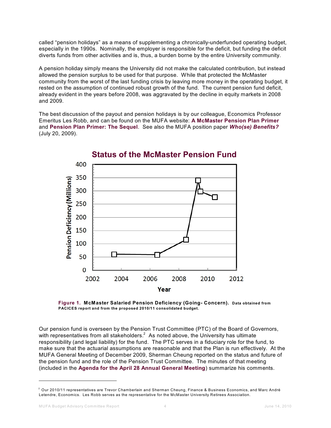called "pension holidays" as a means of supplementing a chronically-underfunded operating budget, especially in the 1990s. Nominally, the employer is responsible for the deficit, but funding the deficit diverts funds from other activities and is, thus, a burden borne by the entire University community.

A pension holiday simply means the University did not make the calculated contribution, but instead allowed the pension surplus to be used for that purpose. While that protected the McMaster community from the worst of the last funding crisis by leaving more money in the operating budget, it rested on the assumption of continued robust growth of the fund. The current pension fund deficit, already evident in the years before 2008, was aggravated by the decline in equity markets in 2008 and 2009.

The best discussion of the payout and pension holidays is by our colleague, Economics Professor Emeritus Les Robb, and can be found on the MUFA website: **A [McMaster](http://www.mcmaster.ca/mufa/lespensn.htm) Pension Plan Primer** and **[Pension](http://www.mcmaster.ca/mufa/lespens2.htm) Plan Primer: The Sequel**. See also the MUFA position paper *Who(se) [Benefits?](http://www.mcmaster.ca/mufa/Who%28se%29BenefitsJuly20-09.pdf)* (July 20, 2009).



**Status of the McMaster Pension Fund** 

**Figure 1. McMaster Salaried Pension Deficiency (Going- Concern). Data obtained from PACICES report and from the proposed 2010/11 consolidated budget.**

Our pension fund is overseen by the Pension Trust Committee (PTC) of the Board of Governors, with representatives from all stakeholders. $^2\,$  As noted above, the University has ultimate responsibility (and legal liability) for the fund. The PTC serves in a fiduciary role for the fund, to make sure that the actuarial assumptions are reasonable and that the Plan is run effectively. At the MUFA General Meeting of December 2009, Sherman Cheung reported on the status and future of the pension fund and the role of the Pension Trust Committee. The minutes of that meeting (included in the **Agenda for the April 28 Annual General [Meeting](http://www.mcmaster.ca/mufa/AGMagendaApr28-10.pdf)**) summarize his comments.

 $^2$  Our 2010/11 representatives are Trevor Chamberlain and Sherman Cheung, Finance & Business Economics, and Marc André Letendre, Economics. Les Robb serves as the representative for the McMaster University Retirees Association.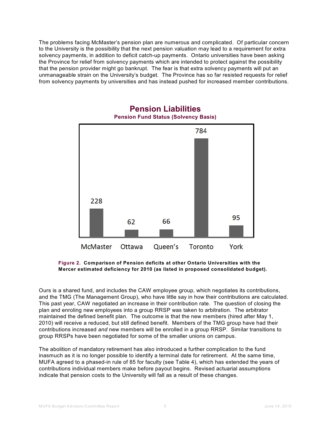The problems facing McMaster's pension plan are numerous and complicated. Of particular concern to the University is the possibility that the next pension valuation may lead to a requirement for extra solvency payments, in addition to deficit catch-up payments. Ontario universities have been asking the Province for relief from solvency payments which are intended to protect against the possibility that the pension provider might go bankrupt. The fear is that extra solvency payments will put an unmanageable strain on the University's budget. The Province has so far resisted requests for relief from solvency payments by universities and has instead pushed for increased member contributions.



#### **Pension Liabilities Pension Fund Status (Solvency Basis)**

**Figure 2. Comparison of Pension deficits at other Ontario Universities with the Mercer estimated deficiency for 2010 (as listed in proposed consolidated budget).**

Ours is a shared fund, and includes the CAW employee group, which negotiates its contributions, and the TMG (The Management Group), who have little say in how their contributions are calculated. This past year, CAW negotiated an increase in their contribution rate. The question of closing the plan and enroling new employees into a group RRSP was taken to arbitration. The arbitrator maintained the defined benefit plan. The outcome is that the new members (hired after May 1, 2010) will receive a reduced, but still defined benefit. Members of the TMG group have had their contributions increased *and* new members will be enrolled in a group RRSP. Similar transitions to group RRSPs have been negotiated for some of the smaller unions on campus.

The abolition of mandatory retirement has also introduced a further complication to the fund inasmuch as it is no longer possible to identify a terminal date for retirement. At the same time, MUFA agreed to a phased-in rule of 85 for faculty (see Table 4), which has extended the years of contributions individual members make before payout begins. Revised actuarial assumptions indicate that pension costs to the University will fall as a result of these changes.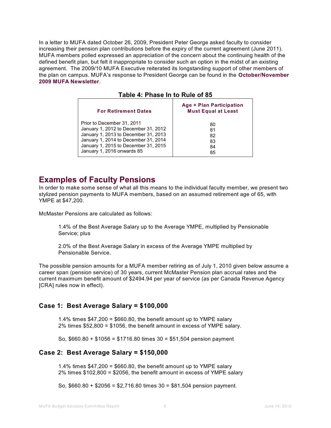In a letter to MUFA dated October 26, 2009, President Peter George asked faculty to consider increasing their pension plan contributions before the expiry of the current agreement (June 2011). MUFA members polled expressed an appreciation of the concern about the continuing health of the defined benefit plan, but felt it inappropriate to consider such an option in the midst of an existing agreement. The 2009/10 MUFA Executive reiterated its longstanding support of other members of the plan on campus. MUFA's response to President George can be found in the **[October/November](http://www.mcmaster.ca/mufa/NewsOctNov09.pdf%20) 2009 MUFA [Newsletter](http://www.mcmaster.ca/mufa/NewsOctNov09.pdf%20)**.

**Table 4: Phase In to Rule of 85**

| <b>For Retirement Dates</b>          | Age + Plan Participation<br><b>Must Equal at Least</b> |
|--------------------------------------|--------------------------------------------------------|
| Prior to December 31, 2011           | 80                                                     |
| January 1, 2012 to December 31, 2012 | 81                                                     |
| January 1, 2013 to December 31, 2013 | 82                                                     |
| January 1, 2014 to December 31, 2014 | 83                                                     |
| January 1, 2015 to December 31, 2015 | 84                                                     |
| January 1, 2016 onwards 85           | 85                                                     |

## **Examples of Faculty Pensions**

In order to make some sense of what all this means to the individual faculty member, we present two stylized pension payments to MUFA members, based on an assumed retirement age of 65, with YMPE at \$47,200.

McMaster Pensions are calculated as follows:

1.4% of the Best Average Salary up to the Average YMPE, multiplied by Pensionable Service; plus

2.0% of the Best Average Salary in excess of the Average YMPE multiplied by Pensionable Service.

The possible pension amounts for a MUFA member retiring as of July 1, 2010 given below assume a career span (pension service) of 30 years, current McMaster Pension plan accrual rates and the current maximum benefit amount of \$2494.94 per year of service (as per Canada Revenue Agency [CRA] rules now in effect).

#### **Case 1: Best Average Salary = \$100,000**

1.4% times \$47,200 = \$660.80, the benefit amount up to YMPE salary 2% times \$52,800 = \$1056, the benefit amount in excess of YMPE salary.

So, \$660.80 + \$1056 = \$1716.80 times 30 = \$51,504 pension payment

#### **Case 2: Best Average Salary = \$150,000**

1.4% times \$47,200 = \$660.80, the benefit amount up to YMPE salary 2% times \$102,800 = \$2056, the benefit amount in excess of YMPE salary

So, \$660.80 + \$2056 = \$2,716.80 times 30 = \$81,504 pension payment.